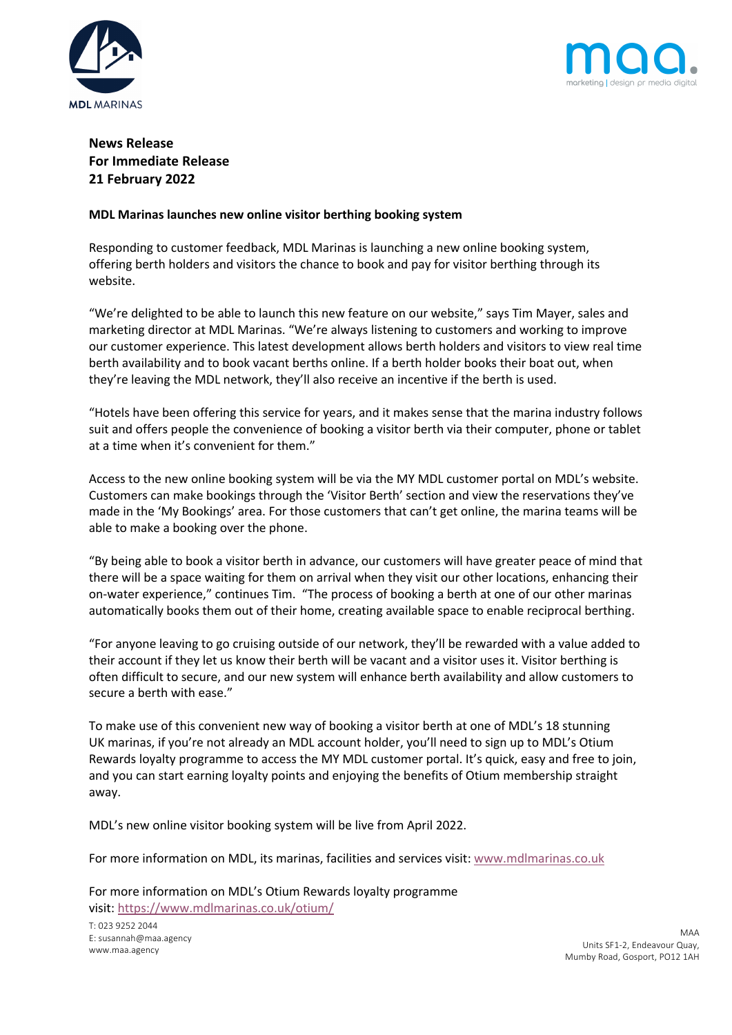



# **News Release For Immediate Release 21 February 2022**

### **MDL Marinas launches new online visitor berthing booking system**

Responding to customer feedback, MDL Marinas is launching a new online booking system, offering berth holders and visitors the chance to book and pay for visitor berthing through its website.

"We're delighted to be able to launch this new feature on our website," says Tim Mayer, sales and marketing director at MDL Marinas. "We're always listening to customers and working to improve our customer experience. This latest development allows berth holders and visitors to view real time berth availability and to book vacant berths online. If a berth holder books their boat out, when they're leaving the MDL network, they'll also receive an incentive if the berth is used.

"Hotels have been offering this service for years, and it makes sense that the marina industry follows suit and offers people the convenience of booking a visitor berth via their computer, phone or tablet at a time when it's convenient for them."

Access to the new online booking system will be via the MY MDL customer portal on MDL's website. Customers can make bookings through the 'Visitor Berth' section and view the reservations they've made in the 'My Bookings' area. For those customers that can't get online, the marina teams will be able to make a booking over the phone.

"By being able to book a visitor berth in advance, our customers will have greater peace of mind that there will be a space waiting for them on arrival when they visit our other locations, enhancing their on-water experience," continues Tim. "The process of booking a berth at one of our other marinas automatically books them out of their home, creating available space to enable reciprocal berthing.

"For anyone leaving to go cruising outside of our network, they'll be rewarded with a value added to their account if they let us know their berth will be vacant and a visitor uses it. Visitor berthing is often difficult to secure, and our new system will enhance berth availability and allow customers to secure a berth with ease."

To make use of this convenient new way of booking a visitor berth at one of MDL's 18 stunning UK marinas, if you're not already an MDL account holder, you'll need to sign up to MDL's Otium Rewards loyalty programme to access the MY MDL customer portal. It's quick, easy and free to join, and you can start earning loyalty points and enjoying the benefits of Otium membership straight away.

MDL's new online visitor booking system will be live from April 2022.

For more information on MDL, its marinas, facilities and services visit: www.mdlmarinas.co.uk

For more information on MDL's Otium Rewards loyalty programme visit: https://www.mdlmarinas.co.uk/otium/

T: 023 9252 2044 E: susannah@maa.agency www.maa.agency

MAA Units SF1-2, Endeavour Quay, Mumby Road, Gosport, PO12 1AH